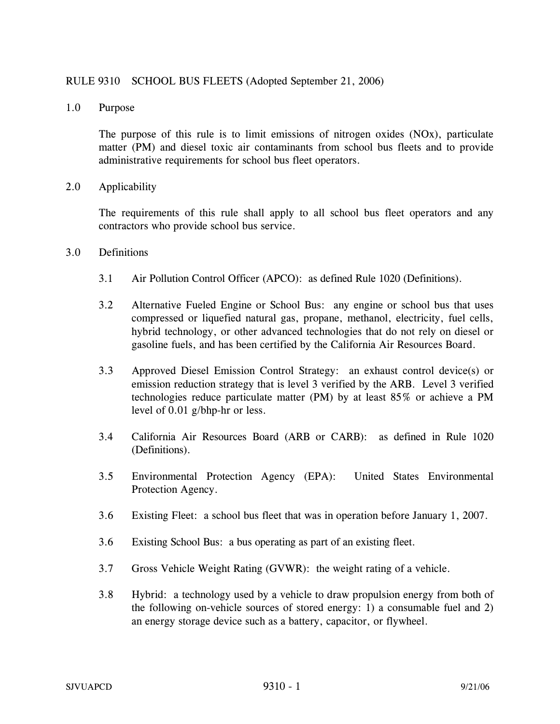## RULE 9310 SCHOOL BUS FLEETS (Adopted September 21, 2006)

1.0 Purpose

The purpose of this rule is to limit emissions of nitrogen oxides (NOx), particulate matter (PM) and diesel toxic air contaminants from school bus fleets and to provide administrative requirements for school bus fleet operators.

2.0 Applicability

 The requirements of this rule shall apply to all school bus fleet operators and any contractors who provide school bus service.

- 3.0 Definitions
	- 3.1 Air Pollution Control Officer (APCO): as defined Rule 1020 (Definitions).
	- 3.2 Alternative Fueled Engine or School Bus: any engine or school bus that uses compressed or liquefied natural gas, propane, methanol, electricity, fuel cells, hybrid technology, or other advanced technologies that do not rely on diesel or gasoline fuels, and has been certified by the California Air Resources Board.
	- 3.3 Approved Diesel Emission Control Strategy: an exhaust control device(s) or emission reduction strategy that is level 3 verified by the ARB. Level 3 verified technologies reduce particulate matter (PM) by at least 85% or achieve a PM level of 0.01 g/bhp-hr or less.
	- 3.4 California Air Resources Board (ARB or CARB): as defined in Rule 1020 (Definitions).
	- 3.5 Environmental Protection Agency (EPA): United States Environmental Protection Agency.
	- 3.6 Existing Fleet: a school bus fleet that was in operation before January 1, 2007.
	- 3.6 Existing School Bus: a bus operating as part of an existing fleet.
	- 3.7 Gross Vehicle Weight Rating (GVWR): the weight rating of a vehicle.
	- 3.8 Hybrid: a technology used by a vehicle to draw propulsion energy from both of the following on-vehicle sources of stored energy: 1) a consumable fuel and 2) an energy storage device such as a battery, capacitor, or flywheel.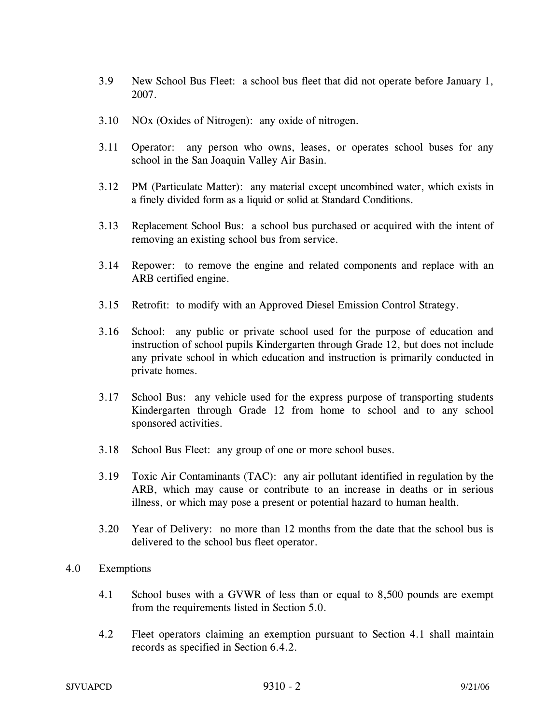- 3.9 New School Bus Fleet: a school bus fleet that did not operate before January 1, 2007.
- 3.10 NOx (Oxides of Nitrogen): any oxide of nitrogen.
- 3.11 Operator: any person who owns, leases, or operates school buses for any school in the San Joaquin Valley Air Basin.
- 3.12 PM (Particulate Matter): any material except uncombined water, which exists in a finely divided form as a liquid or solid at Standard Conditions.
- 3.13 Replacement School Bus: a school bus purchased or acquired with the intent of removing an existing school bus from service.
- 3.14 Repower: to remove the engine and related components and replace with an ARB certified engine.
- 3.15 Retrofit: to modify with an Approved Diesel Emission Control Strategy.
- 3.16 School: any public or private school used for the purpose of education and instruction of school pupils Kindergarten through Grade 12, but does not include any private school in which education and instruction is primarily conducted in private homes.
- 3.17 School Bus: any vehicle used for the express purpose of transporting students Kindergarten through Grade 12 from home to school and to any school sponsored activities.
- 3.18 School Bus Fleet: any group of one or more school buses.
- 3.19 Toxic Air Contaminants (TAC): any air pollutant identified in regulation by the ARB, which may cause or contribute to an increase in deaths or in serious illness, or which may pose a present or potential hazard to human health.
- 3.20 Year of Delivery: no more than 12 months from the date that the school bus is delivered to the school bus fleet operator.
- 4.0 Exemptions
	- 4.1 School buses with a GVWR of less than or equal to 8,500 pounds are exempt from the requirements listed in Section 5.0.
	- 4.2 Fleet operators claiming an exemption pursuant to Section 4.1 shall maintain records as specified in Section 6.4.2.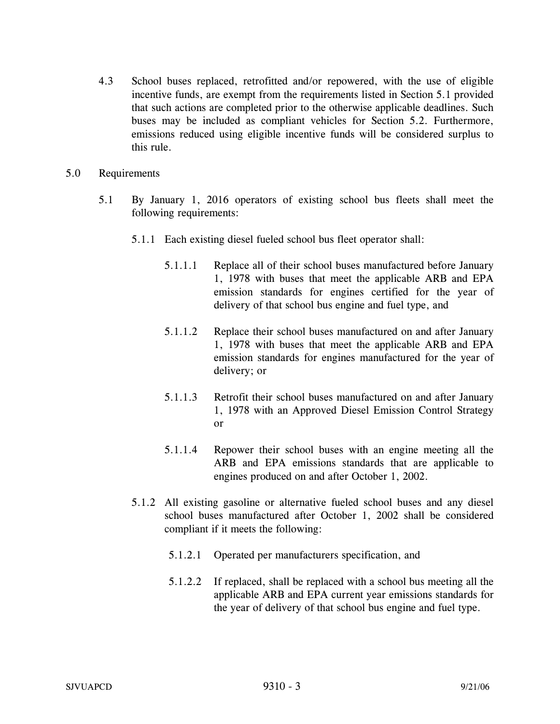- 4.3 School buses replaced, retrofitted and/or repowered, with the use of eligible incentive funds, are exempt from the requirements listed in Section 5.1 provided that such actions are completed prior to the otherwise applicable deadlines. Such buses may be included as compliant vehicles for Section 5.2. Furthermore, emissions reduced using eligible incentive funds will be considered surplus to this rule.
- 5.0 Requirements
	- 5.1 By January 1, 2016 operators of existing school bus fleets shall meet the following requirements:
		- 5.1.1 Each existing diesel fueled school bus fleet operator shall:
			- 5.1.1.1 Replace all of their school buses manufactured before January 1, 1978 with buses that meet the applicable ARB and EPA emission standards for engines certified for the year of delivery of that school bus engine and fuel type, and
			- 5.1.1.2 Replace their school buses manufactured on and after January 1, 1978 with buses that meet the applicable ARB and EPA emission standards for engines manufactured for the year of delivery; or
			- 5.1.1.3 Retrofit their school buses manufactured on and after January 1, 1978 with an Approved Diesel Emission Control Strategy or
			- 5.1.1.4 Repower their school buses with an engine meeting all the ARB and EPA emissions standards that are applicable to engines produced on and after October 1, 2002.
		- 5.1.2 All existing gasoline or alternative fueled school buses and any diesel school buses manufactured after October 1, 2002 shall be considered compliant if it meets the following:
			- 5.1.2.1 Operated per manufacturers specification, and
			- 5.1.2.2 If replaced, shall be replaced with a school bus meeting all the applicable ARB and EPA current year emissions standards for the year of delivery of that school bus engine and fuel type.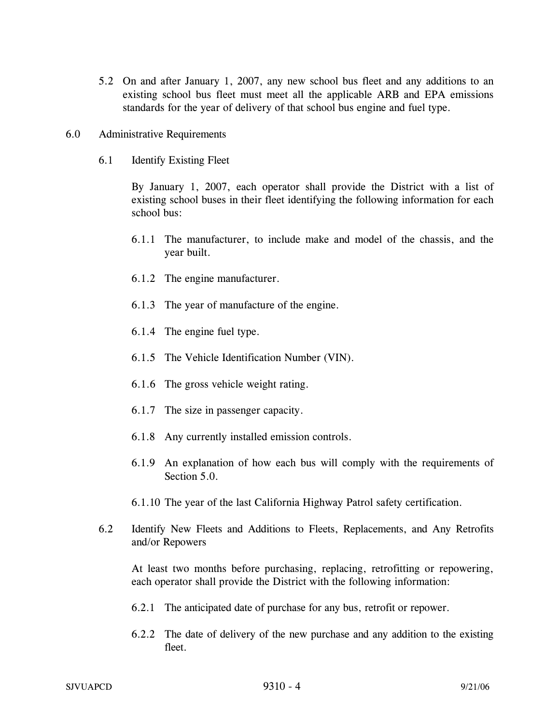- 5.2 On and after January 1, 2007, any new school bus fleet and any additions to an existing school bus fleet must meet all the applicable ARB and EPA emissions standards for the year of delivery of that school bus engine and fuel type.
- 6.0 Administrative Requirements
	- 6.1 Identify Existing Fleet

By January 1, 2007, each operator shall provide the District with a list of existing school buses in their fleet identifying the following information for each school bus:

- 6.1.1 The manufacturer, to include make and model of the chassis, and the year built.
- 6.1.2 The engine manufacturer.
- 6.1.3 The year of manufacture of the engine.
- 6.1.4 The engine fuel type.
- 6.1.5 The Vehicle Identification Number (VIN).
- 6.1.6 The gross vehicle weight rating.
- 6.1.7 The size in passenger capacity.
- 6.1.8 Any currently installed emission controls.
- 6.1.9 An explanation of how each bus will comply with the requirements of Section 5.0.
- 6.1.10 The year of the last California Highway Patrol safety certification.
- 6.2 Identify New Fleets and Additions to Fleets, Replacements, and Any Retrofits and/or Repowers

At least two months before purchasing, replacing, retrofitting or repowering, each operator shall provide the District with the following information:

- 6.2.1 The anticipated date of purchase for any bus, retrofit or repower.
- 6.2.2 The date of delivery of the new purchase and any addition to the existing fleet.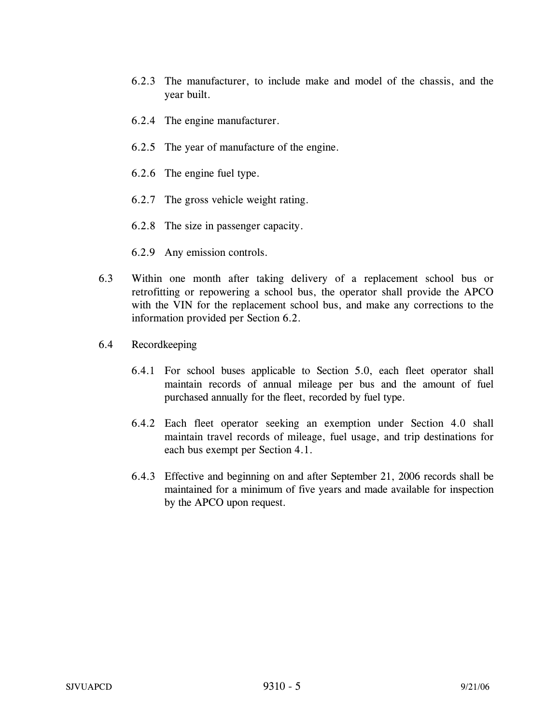- 6.2.3 The manufacturer, to include make and model of the chassis, and the year built.
- 6.2.4 The engine manufacturer.
- 6.2.5 The year of manufacture of the engine.
- 6.2.6 The engine fuel type.
- 6.2.7 The gross vehicle weight rating.
- 6.2.8 The size in passenger capacity.
- 6.2.9 Any emission controls.
- 6.3 Within one month after taking delivery of a replacement school bus or retrofitting or repowering a school bus, the operator shall provide the APCO with the VIN for the replacement school bus, and make any corrections to the information provided per Section 6.2.
- 6.4 Recordkeeping
	- 6.4.1 For school buses applicable to Section 5.0, each fleet operator shall maintain records of annual mileage per bus and the amount of fuel purchased annually for the fleet, recorded by fuel type.
	- 6.4.2 Each fleet operator seeking an exemption under Section 4.0 shall maintain travel records of mileage, fuel usage, and trip destinations for each bus exempt per Section 4.1.
	- 6.4.3 Effective and beginning on and after September 21, 2006 records shall be maintained for a minimum of five years and made available for inspection by the APCO upon request.